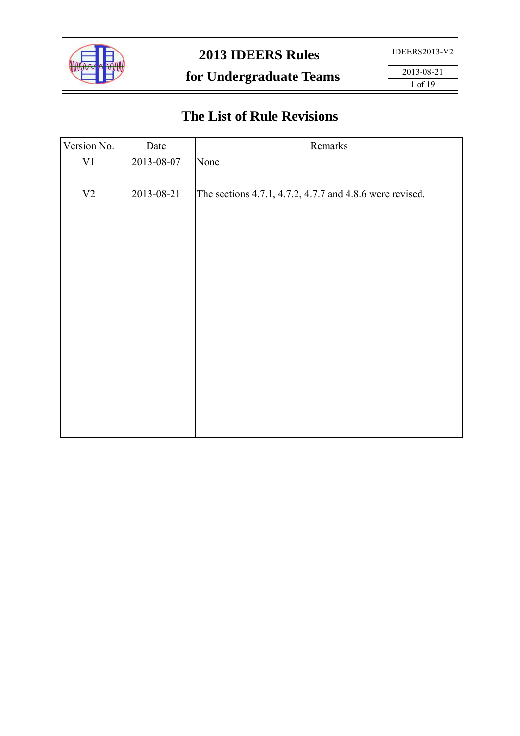

# **The List of Rule Revisions**

| Date       | Remarks                                                  |
|------------|----------------------------------------------------------|
| 2013-08-07 | None                                                     |
| 2013-08-21 | The sections 4.7.1, 4.7.2, 4.7.7 and 4.8.6 were revised. |
|            |                                                          |
|            |                                                          |
|            |                                                          |
|            |                                                          |
|            |                                                          |
|            |                                                          |
|            |                                                          |
|            |                                                          |
|            |                                                          |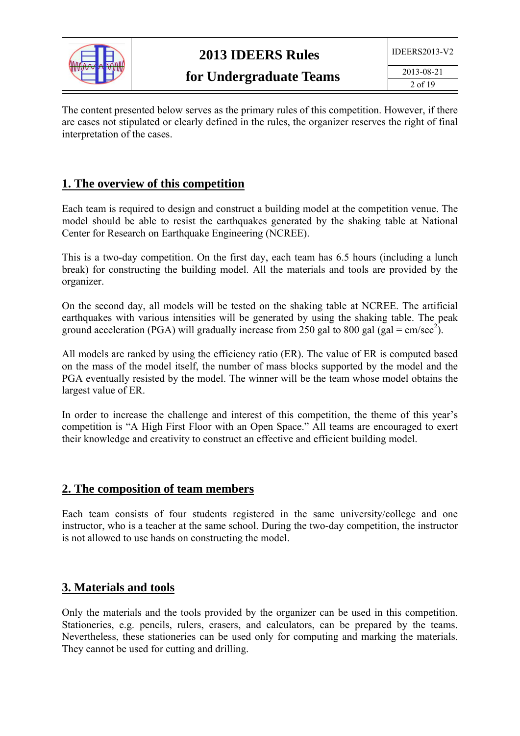

The content presented below serves as the primary rules of this competition. However, if there are cases not stipulated or clearly defined in the rules, the organizer reserves the right of final interpretation of the cases.

#### **1. The overview of this competition**

Each team is required to design and construct a building model at the competition venue. The model should be able to resist the earthquakes generated by the shaking table at National Center for Research on Earthquake Engineering (NCREE).

This is a two-day competition. On the first day, each team has 6.5 hours (including a lunch break) for constructing the building model. All the materials and tools are provided by the organizer.

On the second day, all models will be tested on the shaking table at NCREE. The artificial earthquakes with various intensities will be generated by using the shaking table. The peak ground acceleration (PGA) will gradually increase from 250 gal to 800 gal (gal = cm/sec<sup>2</sup>).

All models are ranked by using the efficiency ratio (ER). The value of ER is computed based on the mass of the model itself, the number of mass blocks supported by the model and the PGA eventually resisted by the model. The winner will be the team whose model obtains the largest value of ER.

In order to increase the challenge and interest of this competition, the theme of this year's competition is "A High First Floor with an Open Space." All teams are encouraged to exert their knowledge and creativity to construct an effective and efficient building model.

#### **2. The composition of team members**

Each team consists of four students registered in the same university/college and one instructor, who is a teacher at the same school. During the two-day competition, the instructor is not allowed to use hands on constructing the model.

#### **3. Materials and tools**

Only the materials and the tools provided by the organizer can be used in this competition. Stationeries, e.g. pencils, rulers, erasers, and calculators, can be prepared by the teams. Nevertheless, these stationeries can be used only for computing and marking the materials. They cannot be used for cutting and drilling.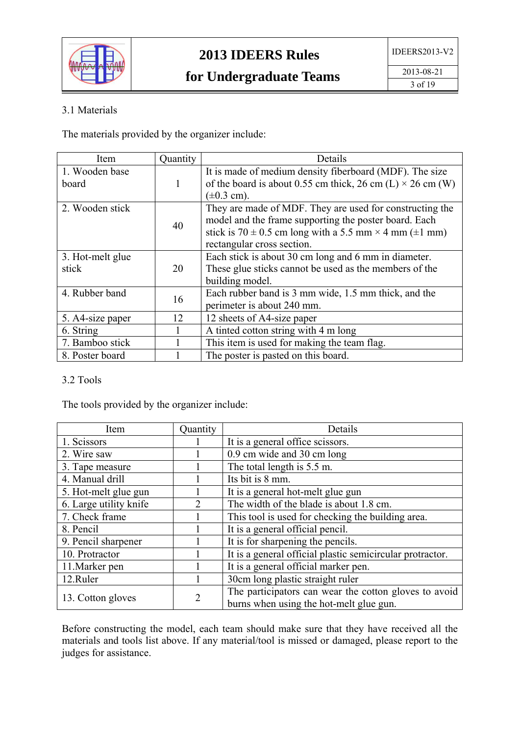

#### 3.1 Materials

The materials provided by the organizer include:

| Item             | Quantity | Details                                                                 |
|------------------|----------|-------------------------------------------------------------------------|
| 1. Wooden base   |          | It is made of medium density fiberboard (MDF). The size                 |
| board            | 1        | of the board is about 0.55 cm thick, 26 cm (L) $\times$ 26 cm (W)       |
|                  |          | $(\pm 0.3 \text{ cm})$ .                                                |
| 2. Wooden stick  |          | They are made of MDF. They are used for constructing the                |
|                  | 40       | model and the frame supporting the poster board. Each                   |
|                  |          | stick is $70 \pm 0.5$ cm long with a 5.5 mm $\times$ 4 mm ( $\pm$ 1 mm) |
|                  |          | rectangular cross section.                                              |
| 3. Hot-melt glue |          | Each stick is about 30 cm long and 6 mm in diameter.                    |
| stick            | 20       | These glue sticks cannot be used as the members of the                  |
|                  |          | building model.                                                         |
| 4. Rubber band   | 16       | Each rubber band is 3 mm wide, 1.5 mm thick, and the                    |
|                  |          | perimeter is about 240 mm.                                              |
| 5. A4-size paper | 12       | 12 sheets of A4-size paper                                              |
| 6. String        |          | A tinted cotton string with 4 m long                                    |
| 7. Bamboo stick  |          | This item is used for making the team flag.                             |
| 8. Poster board  |          | The poster is pasted on this board.                                     |

#### 3.2 Tools

The tools provided by the organizer include:

| Item                   | Quantity                    | Details                                                   |
|------------------------|-----------------------------|-----------------------------------------------------------|
| 1. Scissors            |                             | It is a general office scissors.                          |
| 2. Wire saw            |                             | 0.9 cm wide and 30 cm long                                |
| 3. Tape measure        |                             | The total length is 5.5 m.                                |
| 4. Manual drill        |                             | Its bit is 8 mm.                                          |
| 5. Hot-melt glue gun   |                             | It is a general hot-melt glue gun                         |
| 6. Large utility knife | $\mathcal{D}_{\mathcal{L}}$ | The width of the blade is about 1.8 cm.                   |
| 7. Check frame         |                             | This tool is used for checking the building area.         |
| 8. Pencil              |                             | It is a general official pencil.                          |
| 9. Pencil sharpener    |                             | It is for sharpening the pencils.                         |
| 10. Protractor         |                             | It is a general official plastic semicircular protractor. |
| 11. Marker pen         |                             | It is a general official marker pen.                      |
| 12.Ruler               |                             | 30cm long plastic straight ruler                          |
| 13. Cotton gloves      | $\overline{2}$              | The participators can wear the cotton gloves to avoid     |
|                        |                             | burns when using the hot-melt glue gun.                   |

Before constructing the model, each team should make sure that they have received all the materials and tools list above. If any material/tool is missed or damaged, please report to the judges for assistance.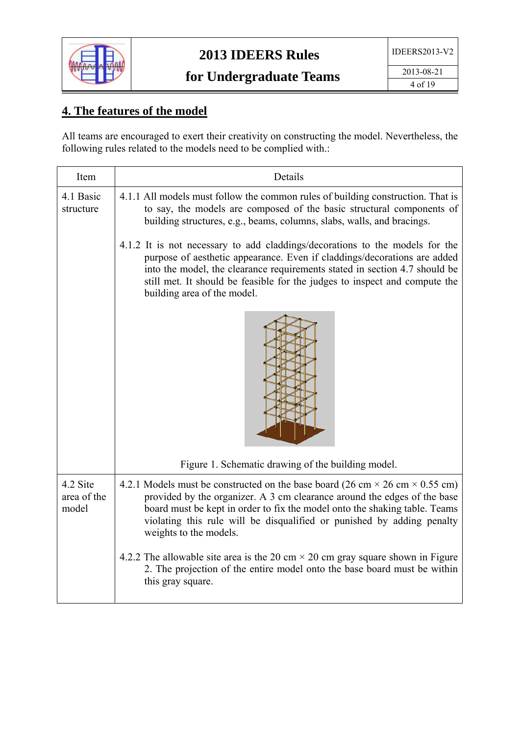

# **4. The features of the model**

All teams are encouraged to exert their creativity on constructing the model. Nevertheless, the following rules related to the models need to be complied with.:

| Item                             | Details                                                                                                                                                                                                                                                                                                                                                  |
|----------------------------------|----------------------------------------------------------------------------------------------------------------------------------------------------------------------------------------------------------------------------------------------------------------------------------------------------------------------------------------------------------|
| 4.1 Basic<br>structure           | 4.1.1 All models must follow the common rules of building construction. That is<br>to say, the models are composed of the basic structural components of<br>building structures, e.g., beams, columns, slabs, walls, and bracings.                                                                                                                       |
|                                  | 4.1.2 It is not necessary to add claddings/decorations to the models for the<br>purpose of aesthetic appearance. Even if claddings/decorations are added<br>into the model, the clearance requirements stated in section 4.7 should be<br>still met. It should be feasible for the judges to inspect and compute the<br>building area of the model.      |
|                                  |                                                                                                                                                                                                                                                                                                                                                          |
|                                  | Figure 1. Schematic drawing of the building model.                                                                                                                                                                                                                                                                                                       |
| 4.2 Site<br>area of the<br>model | 4.2.1 Models must be constructed on the base board (26 cm $\times$ 26 cm $\times$ 0.55 cm)<br>provided by the organizer. A 3 cm clearance around the edges of the base<br>board must be kept in order to fix the model onto the shaking table. Teams<br>violating this rule will be disqualified or punished by adding penalty<br>weights to the models. |
|                                  | 4.2.2 The allowable site area is the 20 cm $\times$ 20 cm gray square shown in Figure<br>2. The projection of the entire model onto the base board must be within<br>this gray square.                                                                                                                                                                   |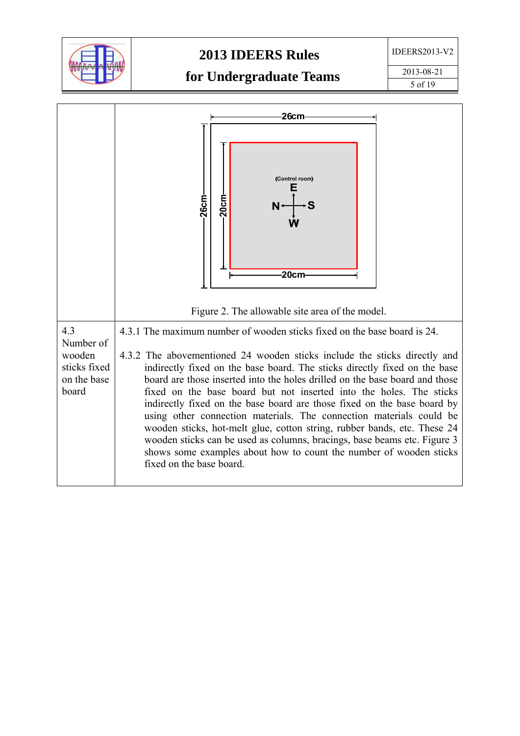

## **2013 IDEERS Rules**

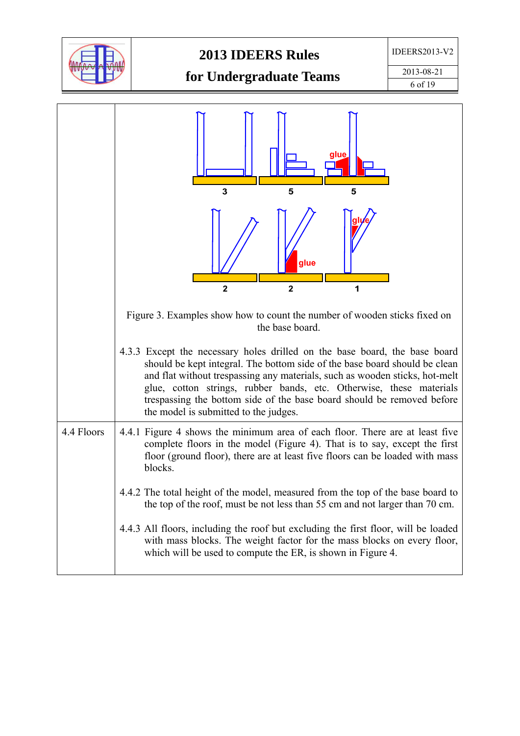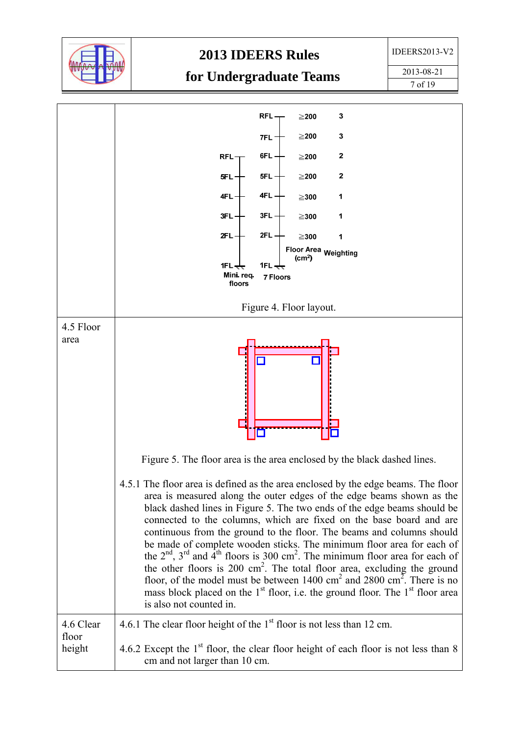

#### **2013 IDEERS Rules**

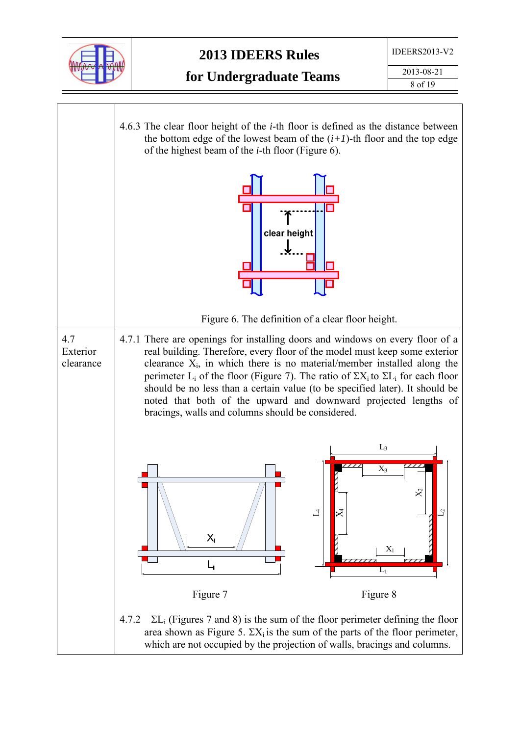

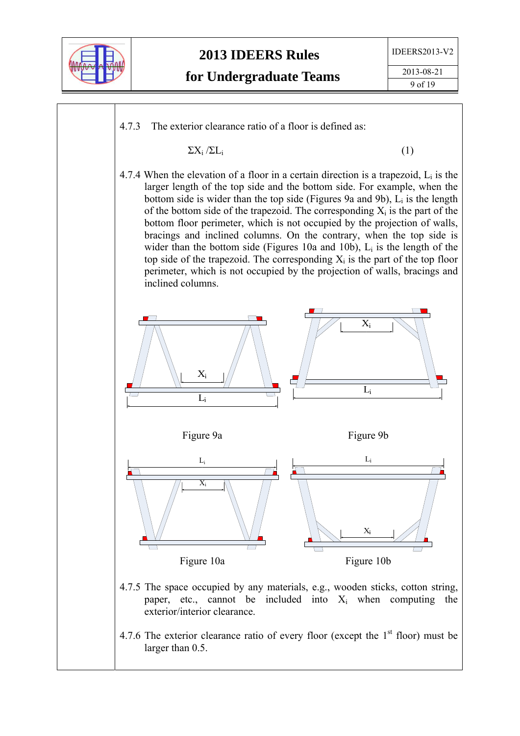

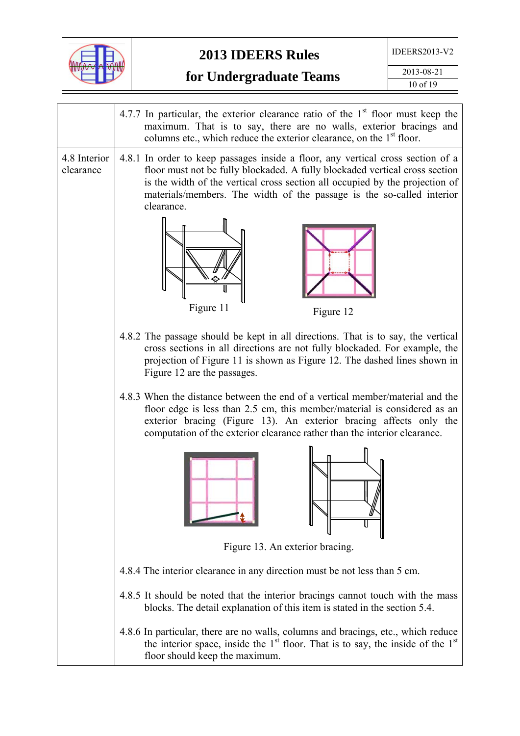

|                           | 4.7.7 In particular, the exterior clearance ratio of the $1st$ floor must keep the<br>maximum. That is to say, there are no walls, exterior bracings and<br>columns etc., which reduce the exterior clearance, on the 1 <sup>st</sup> floor.                                                                                          |
|---------------------------|---------------------------------------------------------------------------------------------------------------------------------------------------------------------------------------------------------------------------------------------------------------------------------------------------------------------------------------|
| 4.8 Interior<br>clearance | 4.8.1 In order to keep passages inside a floor, any vertical cross section of a<br>floor must not be fully blockaded. A fully blockaded vertical cross section<br>is the width of the vertical cross section all occupied by the projection of<br>materials/members. The width of the passage is the so-called interior<br>clearance. |
|                           | Figure 11<br>Figure 12                                                                                                                                                                                                                                                                                                                |
|                           | 4.8.2 The passage should be kept in all directions. That is to say, the vertical<br>cross sections in all directions are not fully blockaded. For example, the<br>projection of Figure 11 is shown as Figure 12. The dashed lines shown in<br>Figure 12 are the passages.                                                             |
|                           | 4.8.3 When the distance between the end of a vertical member/material and the<br>floor edge is less than 2.5 cm, this member/material is considered as an<br>exterior bracing (Figure 13). An exterior bracing affects only the<br>computation of the exterior clearance rather than the interior clearance.                          |
|                           |                                                                                                                                                                                                                                                                                                                                       |
|                           | Figure 13. An exterior bracing.                                                                                                                                                                                                                                                                                                       |
|                           | 4.8.4 The interior clearance in any direction must be not less than 5 cm.                                                                                                                                                                                                                                                             |
|                           | 4.8.5 It should be noted that the interior bracings cannot touch with the mass<br>blocks. The detail explanation of this item is stated in the section 5.4.                                                                                                                                                                           |
|                           | 4.8.6 In particular, there are no walls, columns and bracings, etc., which reduce<br>the interior space, inside the $1st$ floor. That is to say, the inside of the $1st$<br>floor should keep the maximum.                                                                                                                            |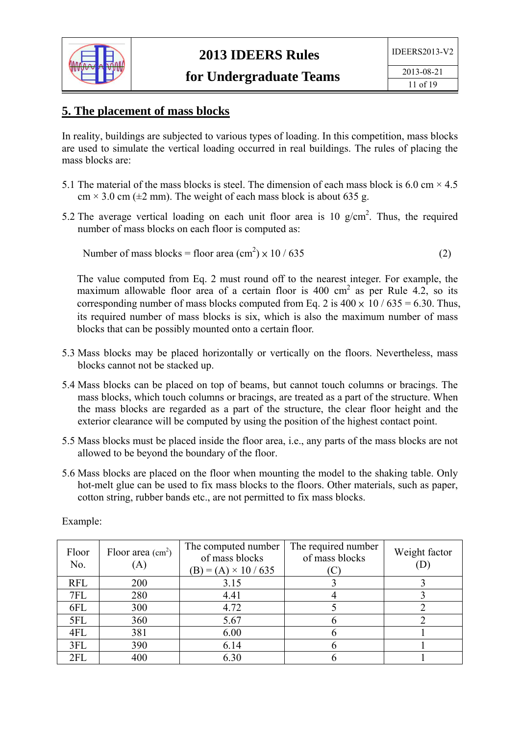

#### **5. The placement of mass blocks**

In reality, buildings are subjected to various types of loading. In this competition, mass blocks are used to simulate the vertical loading occurred in real buildings. The rules of placing the mass blocks are:

- 5.1 The material of the mass blocks is steel. The dimension of each mass block is 6.0 cm  $\times$  4.5  $cm \times 3.0$  cm ( $\pm 2$  mm). The weight of each mass block is about 635 g.
- 5.2 The average vertical loading on each unit floor area is 10  $g/cm<sup>2</sup>$ . Thus, the required number of mass blocks on each floor is computed as:

Number of mass blocks = floor area 
$$
(cm2) \times 10 / 635
$$
 (2)

The value computed from Eq. 2 must round off to the nearest integer. For example, the maximum allowable floor area of a certain floor is  $400 \text{ cm}^2$  as per Rule 4.2, so its corresponding number of mass blocks computed from Eq. 2 is  $400 \times 10 / 635 = 6.30$ . Thus, its required number of mass blocks is six, which is also the maximum number of mass blocks that can be possibly mounted onto a certain floor.

- 5.3 Mass blocks may be placed horizontally or vertically on the floors. Nevertheless, mass blocks cannot not be stacked up.
- 5.4 Mass blocks can be placed on top of beams, but cannot touch columns or bracings. The mass blocks, which touch columns or bracings, are treated as a part of the structure. When the mass blocks are regarded as a part of the structure, the clear floor height and the exterior clearance will be computed by using the position of the highest contact point.
- 5.5 Mass blocks must be placed inside the floor area, i.e., any parts of the mass blocks are not allowed to be beyond the boundary of the floor.
- 5.6 Mass blocks are placed on the floor when mounting the model to the shaking table. Only hot-melt glue can be used to fix mass blocks to the floors. Other materials, such as paper, cotton string, rubber bands etc., are not permitted to fix mass blocks.

| Floor<br>No. | Floor area $(cm2)$<br>$\bf{A}$ | The computed number<br>of mass blocks<br>$(B) = (A) \times 10 / 635$ | The required number<br>of mass blocks | Weight factor |
|--------------|--------------------------------|----------------------------------------------------------------------|---------------------------------------|---------------|
| <b>RFL</b>   | 200                            | 3.15                                                                 |                                       |               |
| 7FL          | 280                            | 4.41                                                                 |                                       |               |
| 6FL          | 300                            | 4.72                                                                 |                                       |               |
| 5FL          | 360                            | 5.67                                                                 |                                       |               |
| 4FL          | 381                            | 6.00                                                                 |                                       |               |
| 3FL          | 390                            | 6.14                                                                 |                                       |               |
| 2FL          | 400                            | 6.30                                                                 |                                       |               |

Example: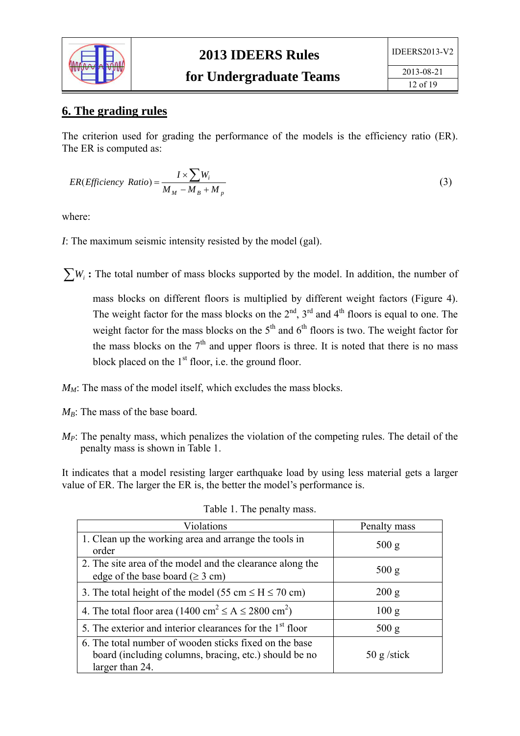

#### **6. The grading rules**

The criterion used for grading the performance of the models is the efficiency ratio (ER). The ER is computed as:

$$
ER(Efficiency Ratio) = \frac{I \times \sum W_i}{M_M - M_B + M_p}
$$
\n(3)

where:

*I*: The maximum seismic intensity resisted by the model (gal).

 $\sum W_i$ : The total number of mass blocks supported by the model. In addition, the number of

mass blocks on different floors is multiplied by different weight factors (Figure 4). The weight factor for the mass blocks on the  $2<sup>nd</sup>$ ,  $3<sup>rd</sup>$  and  $4<sup>th</sup>$  floors is equal to one. The weight factor for the mass blocks on the  $5<sup>th</sup>$  and  $6<sup>th</sup>$  floors is two. The weight factor for the mass blocks on the  $7<sup>th</sup>$  and upper floors is three. It is noted that there is no mass block placed on the  $1<sup>st</sup>$  floor, i.e. the ground floor.

- $M_M$ : The mass of the model itself, which excludes the mass blocks.
- $M_B$ : The mass of the base board.
- *M<sub>P</sub>*: The penalty mass, which penalizes the violation of the competing rules. The detail of the penalty mass is shown in Table 1.

It indicates that a model resisting larger earthquake load by using less material gets a larger value of ER. The larger the ER is, the better the model's performance is.

| Violations                                                                                                                         | Penalty mass          |
|------------------------------------------------------------------------------------------------------------------------------------|-----------------------|
| 1. Clean up the working area and arrange the tools in<br>order                                                                     | 500 g                 |
| 2. The site area of the model and the clearance along the<br>edge of the base board ( $\geq 3$ cm)                                 | 500 g                 |
| 3. The total height of the model (55 cm $\leq$ H $\leq$ 70 cm)                                                                     | 200 g                 |
| 4. The total floor area $(1400 \text{ cm}^2 \le A \le 2800 \text{ cm}^2)$                                                          | 100 g                 |
| 5. The exterior and interior clearances for the 1 <sup>st</sup> floor                                                              | 500 g                 |
| 6. The total number of wooden sticks fixed on the base<br>board (including columns, bracing, etc.) should be no<br>larger than 24. | $50 \text{ g}$ /stick |

Table 1. The penalty mass.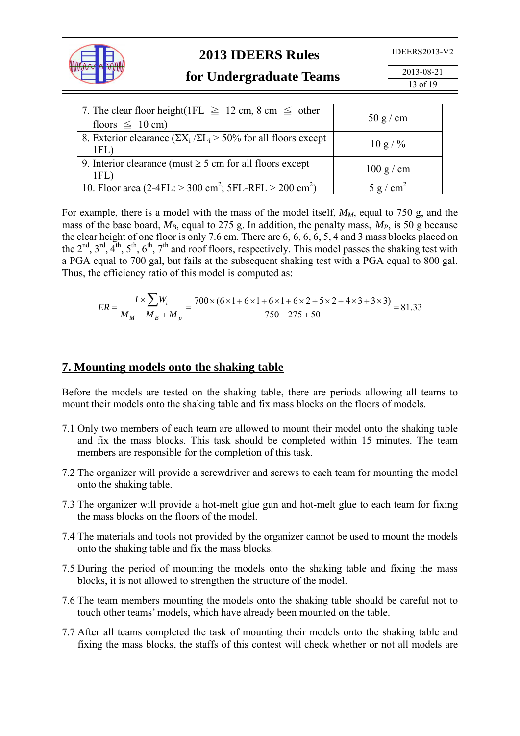

2013-08-21 13 of 19

| 7. The clear floor height(1FL $\geq$ 12 cm, 8 cm $\leq$ other<br>floors $\leq 10$ cm)    | 50 g/cm     |
|------------------------------------------------------------------------------------------|-------------|
| 8. Exterior clearance $(\Sigma X_i / \Sigma L_i > 50\%$ for all floors except<br>$1FL$ ) | $10 g / \%$ |
| 9. Interior clearance (must $\geq$ 5 cm for all floors except<br>1FL                     | 100 g/cm    |
| 10. Floor area (2-4FL: $>$ 300 cm <sup>2</sup> ; 5FL-RFL $>$ 200 cm <sup>2</sup> )       | cm<br>. g c |

For example, there is a model with the mass of the model itself,  $M_M$ , equal to 750 g, and the mass of the base board,  $M_B$ , equal to 275 g. In addition, the penalty mass,  $M_P$ , is 50 g because the clear height of one floor is only 7.6 cm. There are 6, 6, 6, 6, 5, 4 and 3 mass blocks placed on the  $2^{nd}$ ,  $3^{rd}$ ,  $4^{th}$ ,  $5^{th}$ ,  $6^{th}$ ,  $7^{th}$  and roof floors, respectively. This model passes the shaking test with a PGA equal to 700 gal, but fails at the subsequent shaking test with a PGA equal to 800 gal. Thus, the efficiency ratio of this model is computed as:

$$
ER = \frac{I \times \sum W_i}{M_M - M_B + M_p} = \frac{700 \times (6 \times 1 + 6 \times 1 + 6 \times 1 + 6 \times 2 + 5 \times 2 + 4 \times 3 + 3 \times 3)}{750 - 275 + 50} = 81.33
$$

#### **7. Mounting models onto the shaking table**

Before the models are tested on the shaking table, there are periods allowing all teams to mount their models onto the shaking table and fix mass blocks on the floors of models.

- 7.1 Only two members of each team are allowed to mount their model onto the shaking table and fix the mass blocks. This task should be completed within 15 minutes. The team members are responsible for the completion of this task.
- 7.2 The organizer will provide a screwdriver and screws to each team for mounting the model onto the shaking table.
- 7.3 The organizer will provide a hot-melt glue gun and hot-melt glue to each team for fixing the mass blocks on the floors of the model.
- 7.4 The materials and tools not provided by the organizer cannot be used to mount the models onto the shaking table and fix the mass blocks.
- 7.5 During the period of mounting the models onto the shaking table and fixing the mass blocks, it is not allowed to strengthen the structure of the model.
- 7.6 The team members mounting the models onto the shaking table should be careful not to touch other teams' models, which have already been mounted on the table.
- 7.7 After all teams completed the task of mounting their models onto the shaking table and fixing the mass blocks, the staffs of this contest will check whether or not all models are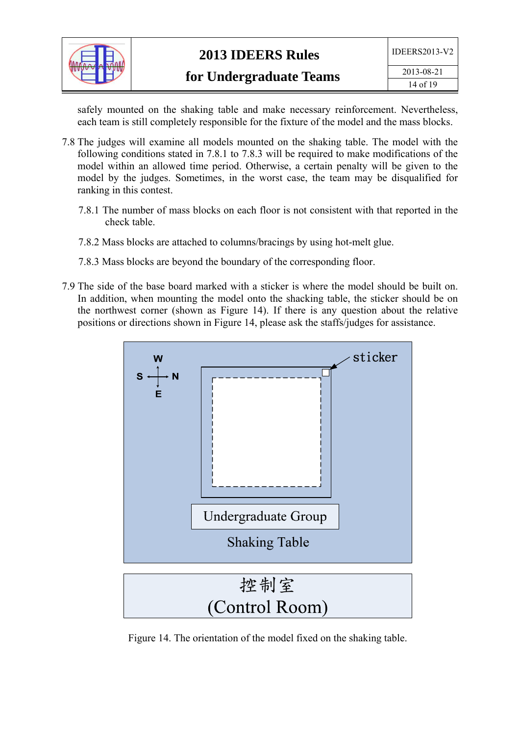

safely mounted on the shaking table and make necessary reinforcement. Nevertheless, each team is still completely responsible for the fixture of the model and the mass blocks.

- 7.8 The judges will examine all models mounted on the shaking table. The model with the following conditions stated in 7.8.1 to 7.8.3 will be required to make modifications of the model within an allowed time period. Otherwise, a certain penalty will be given to the model by the judges. Sometimes, in the worst case, the team may be disqualified for ranking in this contest.
	- 7.8.1 The number of mass blocks on each floor is not consistent with that reported in the check table.
	- 7.8.2 Mass blocks are attached to columns/bracings by using hot-melt glue.
	- 7.8.3 Mass blocks are beyond the boundary of the corresponding floor.
- 7.9 The side of the base board marked with a sticker is where the model should be built on. In addition, when mounting the model onto the shacking table, the sticker should be on the northwest corner (shown as Figure 14). If there is any question about the relative positions or directions shown in Figure 14, please ask the staffs/judges for assistance.



Figure 14. The orientation of the model fixed on the shaking table.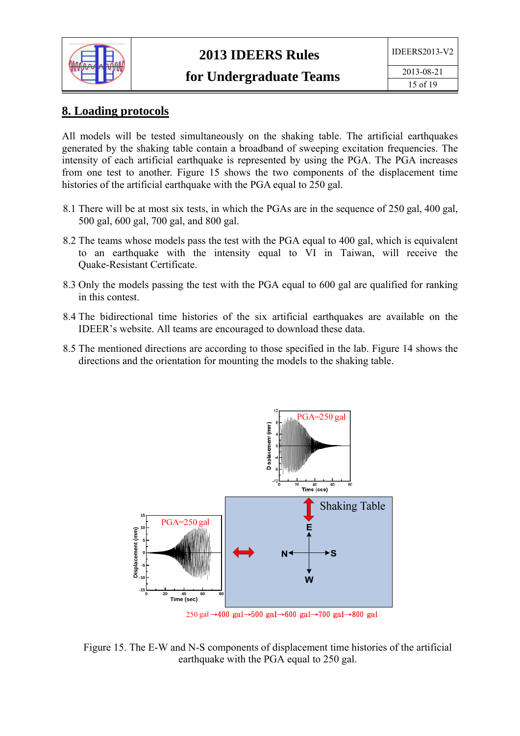

#### **8. Loading protocols**

All models will be tested simultaneously on the shaking table. The artificial earthquakes generated by the shaking table contain a broadband of sweeping excitation frequencies. The intensity of each artificial earthquake is represented by using the PGA. The PGA increases from one test to another. Figure 15 shows the two components of the displacement time histories of the artificial earthquake with the PGA equal to 250 gal.

- 8.1 There will be at most six tests, in which the PGAs are in the sequence of 250 gal, 400 gal, 500 gal, 600 gal, 700 gal, and 800 gal.
- 8.2 The teams whose models pass the test with the PGA equal to 400 gal, which is equivalent to an earthquake with the intensity equal to VI in Taiwan, will receive the Quake-Resistant Certificate.
- 8.3 Only the models passing the test with the PGA equal to 600 gal are qualified for ranking in this contest.
- 8.4 The bidirectional time histories of the six artificial earthquakes are available on the IDEER's website. All teams are encouraged to download these data.
- 8.5 The mentioned directions are according to those specified in the lab. Figure 14 shows the directions and the orientation for mounting the models to the shaking table.



Figure 15. The E-W and N-S components of displacement time histories of the artificial earthquake with the PGA equal to 250 gal.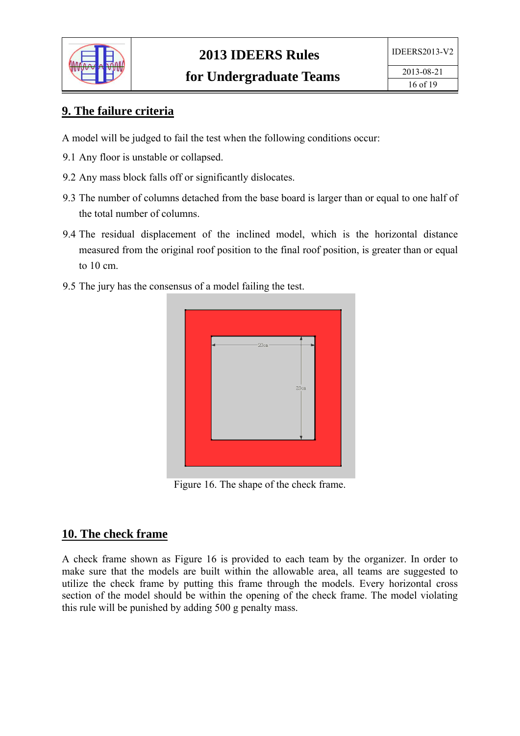

### **9. The failure criteria**

A model will be judged to fail the test when the following conditions occur:

- 9.1 Any floor is unstable or collapsed.
- 9.2 Any mass block falls off or significantly dislocates.
- 9.3 The number of columns detached from the base board is larger than or equal to one half of the total number of columns.
- 9.4 The residual displacement of the inclined model, which is the horizontal distance measured from the original roof position to the final roof position, is greater than or equal to 10 cm.
- 9.5 The jury has the consensus of a model failing the test.



Figure 16. The shape of the check frame.

#### **10. The check frame**

A check frame shown as Figure 16 is provided to each team by the organizer. In order to make sure that the models are built within the allowable area, all teams are suggested to utilize the check frame by putting this frame through the models. Every horizontal cross section of the model should be within the opening of the check frame. The model violating this rule will be punished by adding 500 g penalty mass.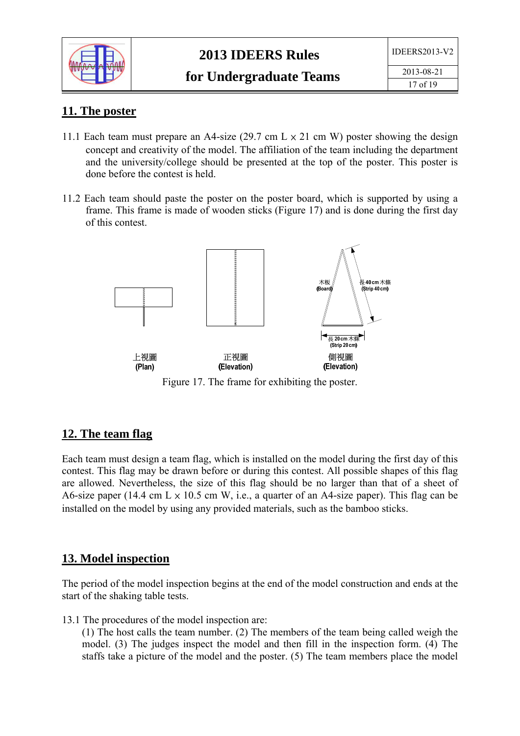

| 11 LEAN 2012 V |  |
|----------------|--|
| 2013-08-21     |  |
| 17 of 19       |  |

#### **11. The poster**

- 11.1 Each team must prepare an A4-size (29.7 cm  $L \times 21$  cm W) poster showing the design concept and creativity of the model. The affiliation of the team including the department and the university/college should be presented at the top of the poster. This poster is done before the contest is held.
- 11.2 Each team should paste the poster on the poster board, which is supported by using a frame. This frame is made of wooden sticks (Figure 17) and is done during the first day of this contest.



Figure 17. The frame for exhibiting the poster.

### **12. The team flag**

Each team must design a team flag, which is installed on the model during the first day of this contest. This flag may be drawn before or during this contest. All possible shapes of this flag are allowed. Nevertheless, the size of this flag should be no larger than that of a sheet of A6-size paper (14.4 cm  $L \times 10.5$  cm W, i.e., a quarter of an A4-size paper). This flag can be installed on the model by using any provided materials, such as the bamboo sticks.

#### **13. Model inspection**

The period of the model inspection begins at the end of the model construction and ends at the start of the shaking table tests.

13.1 The procedures of the model inspection are:

(1) The host calls the team number. (2) The members of the team being called weigh the model. (3) The judges inspect the model and then fill in the inspection form. (4) The staffs take a picture of the model and the poster. (5) The team members place the model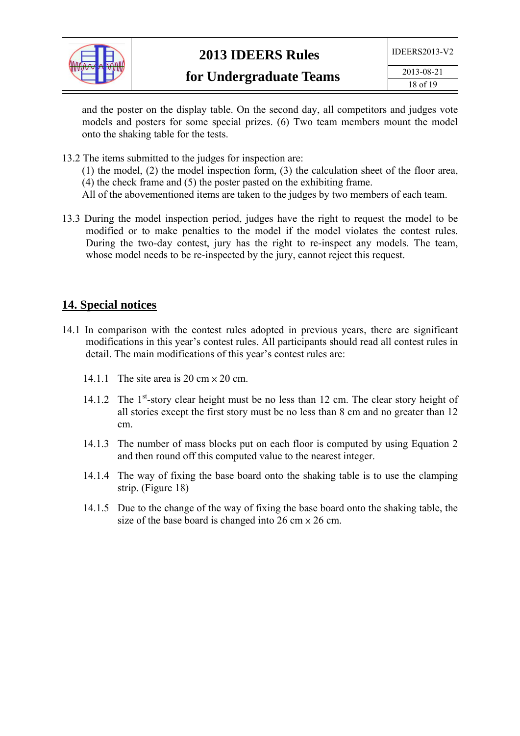

and the poster on the display table. On the second day, all competitors and judges vote models and posters for some special prizes. (6) Two team members mount the model onto the shaking table for the tests.

13.2 The items submitted to the judges for inspection are:

(1) the model, (2) the model inspection form, (3) the calculation sheet of the floor area, (4) the check frame and (5) the poster pasted on the exhibiting frame.

- All of the abovementioned items are taken to the judges by two members of each team.
- 13.3 During the model inspection period, judges have the right to request the model to be modified or to make penalties to the model if the model violates the contest rules. During the two-day contest, jury has the right to re-inspect any models. The team, whose model needs to be re-inspected by the jury, cannot reject this request.

#### **14. Special notices**

- 14.1 In comparison with the contest rules adopted in previous years, there are significant modifications in this year's contest rules. All participants should read all contest rules in detail. The main modifications of this year's contest rules are:
	- 14.1.1 The site area is 20 cm  $\times$  20 cm.
	- 14.1.2 The 1<sup>st</sup>-story clear height must be no less than 12 cm. The clear story height of all stories except the first story must be no less than 8 cm and no greater than 12 cm.
	- 14.1.3 The number of mass blocks put on each floor is computed by using Equation 2 and then round off this computed value to the nearest integer.
	- 14.1.4 The way of fixing the base board onto the shaking table is to use the clamping strip. (Figure 18)
	- 14.1.5 Due to the change of the way of fixing the base board onto the shaking table, the size of the base board is changed into 26 cm  $\times$  26 cm.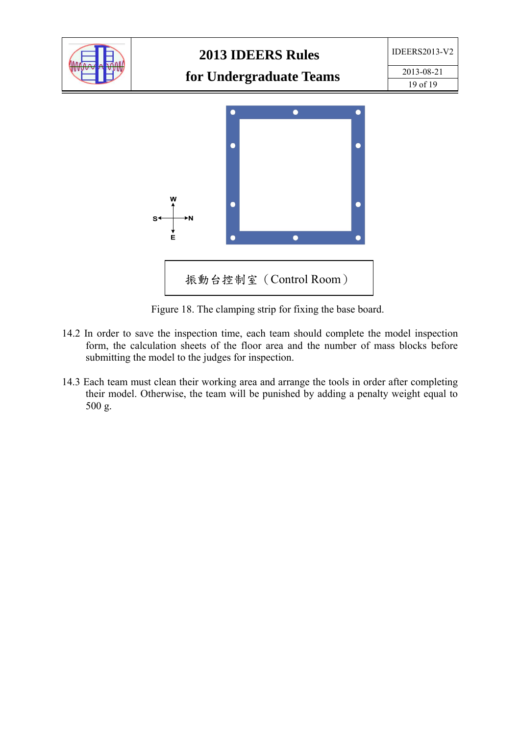

Figure 18. The clamping strip for fixing the base board.

- 14.2 In order to save the inspection time, each team should complete the model inspection form, the calculation sheets of the floor area and the number of mass blocks before submitting the model to the judges for inspection.
- 14.3 Each team must clean their working area and arrange the tools in order after completing their model. Otherwise, the team will be punished by adding a penalty weight equal to 500 g.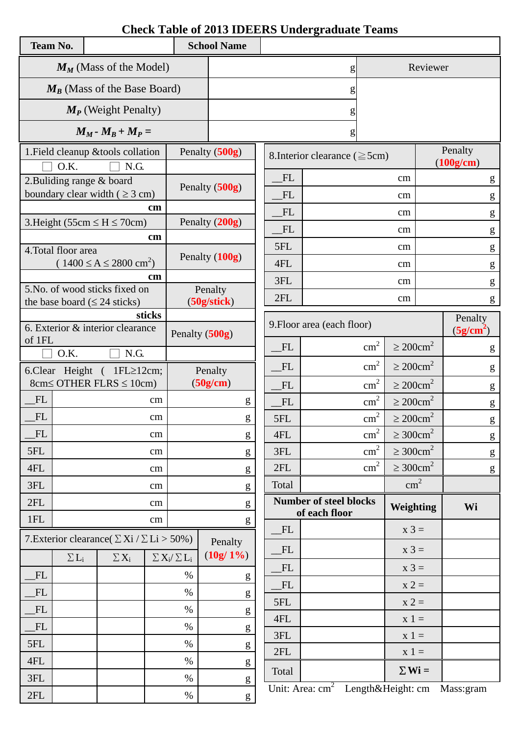# **Check Table of 2013 IDEERS Undergraduate Teams**

| <b>Team No.</b>                |                                                          |          |                                      |               |                               | <b>School Name</b> |           |                                     |                            |                            |           |                                                       |
|--------------------------------|----------------------------------------------------------|----------|--------------------------------------|---------------|-------------------------------|--------------------|-----------|-------------------------------------|----------------------------|----------------------------|-----------|-------------------------------------------------------|
|                                | $M_M$ (Mass of the Model)                                |          |                                      |               |                               | g                  |           |                                     | Reviewer                   |                            |           |                                                       |
| $M_B$ (Mass of the Base Board) |                                                          |          |                                      |               |                               |                    | g         |                                     |                            |                            |           |                                                       |
|                                |                                                          |          | $M_P$ (Weight Penalty)               |               |                               |                    |           |                                     |                            |                            |           |                                                       |
|                                |                                                          |          | $M_M$ - $M_B$ + $M_P$ =              |               |                               |                    |           | g                                   |                            |                            |           |                                                       |
|                                | 1. Field cleanup & tools collation                       |          |                                      |               |                               | Penalty (500g)     |           | 8. Interior clearance ( $\geq$ 5cm) |                            |                            |           | Penalty                                               |
|                                | O.K.                                                     |          | N.G.                                 |               |                               |                    |           |                                     |                            |                            |           | (100g/cm)                                             |
|                                | 2. Buliding range $&$ board                              |          |                                      |               |                               | Penalty (500g)     | FL        |                                     | cm                         |                            |           | g                                                     |
|                                | boundary clear width ( $\geq$ 3 cm)                      |          |                                      | cm            |                               |                    | FL        |                                     |                            | cm                         |           | ${\sf g}$                                             |
|                                | 3. Height (55cm $\leq H \leq 70$ cm)                     |          |                                      |               |                               | Penalty (200g)     | FL        |                                     |                            | cm                         |           | $\mathbf{g}% _{0}$                                    |
|                                |                                                          |          |                                      | cm            |                               |                    | <b>FL</b> |                                     |                            | cm                         |           | ${\bf g}$                                             |
|                                | 4. Total floor area                                      |          |                                      |               |                               | Penalty (100g)     | 5FL       |                                     |                            | cm                         |           | g                                                     |
|                                |                                                          |          | $(1400 \le A \le 2800 \text{ cm}^2)$ | <sub>cm</sub> |                               |                    | 4FL       |                                     |                            | cm                         |           | g                                                     |
|                                | 5. No. of wood sticks fixed on                           |          |                                      |               |                               | Penalty            | 3FL       |                                     |                            | cm                         |           | g                                                     |
|                                | the base board ( $\leq 24$ sticks)                       |          |                                      |               |                               | (50g/stick)        | 2FL       |                                     |                            | cm                         |           | g                                                     |
|                                |                                                          |          |                                      | sticks        |                               |                    |           | 9. Floor area (each floor)          |                            |                            |           | Penalty                                               |
| of 1FL                         | 6. Exterior & interior clearance                         |          |                                      |               | Penalty (500g)                |                    |           |                                     |                            |                            |           | (5g/cm <sup>2</sup> )                                 |
|                                | O.K.                                                     |          | N.G.                                 |               |                               |                    | FL        |                                     | $\text{cm}^2$              | $\geq 200$ cm <sup>2</sup> |           | g                                                     |
|                                | 6. Clear Height ( 1FL≥12cm;                              |          |                                      |               |                               | Penalty            | FL        |                                     | $\text{cm}^2$              | $\geq 200$ cm <sup>2</sup> |           | g                                                     |
|                                | $8cm \leq$ OTHER FLRS $\leq$ 10cm)                       |          |                                      |               |                               | (50g/cm)           | FL        |                                     | $\text{cm}^2$              | $\geq 200$ cm <sup>2</sup> |           | g                                                     |
| FL                             | cm                                                       |          |                                      |               | g                             | FL                 |           | $\text{cm}^2$                       | $\geq 200$ cm <sup>2</sup> |                            | ${\sf g}$ |                                                       |
| <b>FL</b>                      |                                                          |          |                                      | cm            |                               | g                  | 5FL       |                                     | $\text{cm}^2$              | $\geq 200$ cm <sup>2</sup> |           | $\mathbf{g}% _{0}\left( \mathbf{r},\mathbf{r}\right)$ |
| FL                             |                                                          |          |                                      | $\rm cm$      |                               | ${\sf g}$          | 4FL       |                                     | $\text{cm}^2$              | $\geq 300 \text{cm}^2$     |           | ${\bf g}$                                             |
| 5FL                            |                                                          |          |                                      | cm            |                               | g                  | 3FL       |                                     | $\text{cm}^2$              | $\geq 300$ cm <sup>2</sup> |           | ${\bf g}$                                             |
| 4FL                            |                                                          |          |                                      | cm            |                               | ${\sf g}$          | 2FL       |                                     | $\text{cm}^2$              | $\geq 300 \text{cm}^2$     |           | ${\bf g}$                                             |
| 3FL                            |                                                          |          |                                      | $\rm cm$      |                               | ${\bf g}$          | Total     |                                     |                            | $\text{cm}^2$              |           |                                                       |
| 2FL                            |                                                          | $\rm cm$ |                                      | g             | <b>Number of steel blocks</b> |                    | Weighting |                                     |                            | Wi                         |           |                                                       |
| 1FL                            |                                                          |          |                                      | $\rm cm$      |                               | g                  |           | of each floor                       |                            |                            |           |                                                       |
|                                | 7. Exterior clearance ( $\Sigma$ Xi / $\Sigma$ Li > 50%) |          |                                      |               |                               | Penalty            | FL<br>FL  |                                     |                            | $x 3 =$<br>$x 3 =$         |           |                                                       |
|                                | $\Sigma L_i$                                             |          | $\Sigma X_i$                         |               | $\sum X_i / \sum L_i$         | $(10g/1\%)$        |           |                                     |                            |                            |           |                                                       |
| FL                             |                                                          |          |                                      |               | $\%$                          | ${\sf g}$          | FL        |                                     |                            | $x 3 =$                    |           |                                                       |
| FL                             |                                                          |          |                                      |               | $\%$                          | g                  | FL        |                                     |                            | $x 2 =$                    |           |                                                       |
| FL                             |                                                          |          |                                      |               | $\%$                          | g                  | 5FL       |                                     |                            | $x 2 =$                    |           |                                                       |
| FL                             |                                                          |          |                                      |               | $\%$                          | ${\sf g}$          | 4FL       |                                     |                            | $x 1 =$                    |           |                                                       |
| 5FL                            |                                                          |          |                                      |               | $\%$                          | ${\sf g}$          | 3FL       |                                     |                            | $x 1 =$                    |           |                                                       |
| 4FL                            |                                                          |          |                                      |               | $\%$                          | ${\bf g}$          | 2FL       |                                     |                            | $x 1 =$                    |           |                                                       |
| 3FL                            |                                                          |          |                                      |               | $\%$                          | g                  | Total     |                                     |                            | $\Sigma$ Wi =              |           |                                                       |
| 2FL                            |                                                          |          |                                      |               | $\%$                          | ${\bf g}$          |           | Unit: Area: $cm2$ Length&Height: cm |                            |                            |           | Mass:gram                                             |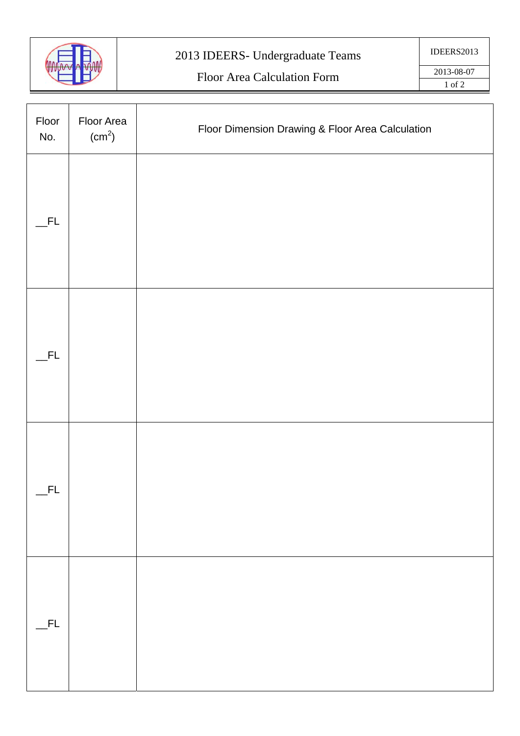

# 2013 IDEERS- Undergraduate Teams

# Floor Area Calculation Form

| Floor<br>No. | Floor Area<br>(cm <sup>2</sup> ) | Floor Dimension Drawing & Floor Area Calculation |
|--------------|----------------------------------|--------------------------------------------------|
| FL.          |                                  |                                                  |
| FL.          |                                  |                                                  |
| FL           |                                  |                                                  |
| $-FL$        |                                  |                                                  |